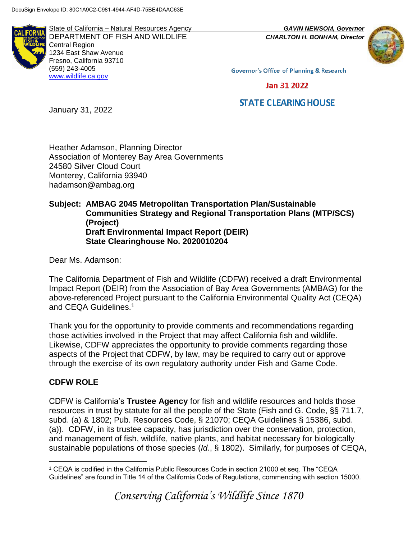**ALIFORN** 

State of California – Natural Resources Agency *GAVIN NEWSOM, Governor* DEPARTMENT OF FISH AND WILDLIFE *CHARLTON H. BONHAM, Director*  Central Region 1234 East Shaw Avenue Fresno, California 93710 (559) 243-4005 [www.wildlife.ca.gov](http://www.cdfw.ca.gov/)



**Governor's Office of Planning & Research** 

Jan 31 2022

# **STATE CLEARING HOUSE**

January 31, 2022

Heather Adamson, Planning Director Association of Monterey Bay Area Governments 24580 Silver Cloud Court Monterey, California 93940 hadamson@ambag.org

#### **Subject: AMBAG 2045 Metropolitan Transportation Plan/Sustainable Communities Strategy and Regional Transportation Plans (MTP/SCS) (Project) Draft Environmental Impact Report (DEIR) State Clearinghouse No. 2020010204**

Dear Ms. Adamson:

The California Department of Fish and Wildlife (CDFW) received a draft Environmental Impact Report (DEIR) from the Association of Bay Area Governments (AMBAG) for the above-referenced Project pursuant to the California Environmental Quality Act (CEQA) and CEQA Guidelines.<sup>1</sup>

Thank you for the opportunity to provide comments and recommendations regarding those activities involved in the Project that may affect California fish and wildlife. Likewise, CDFW appreciates the opportunity to provide comments regarding those aspects of the Project that CDFW, by law, may be required to carry out or approve through the exercise of its own regulatory authority under Fish and Game Code.

### **CDFW ROLE**

CDFW is California's **Trustee Agency** for fish and wildlife resources and holds those resources in trust by statute for all the people of the State (Fish and G. Code, §§ 711.7, subd. (a) & 1802; Pub. Resources Code, § 21070; CEQA Guidelines § 15386, subd. (a)). CDFW, in its trustee capacity, has jurisdiction over the conservation, protection, and management of fish, wildlife, native plants, and habitat necessary for biologically sustainable populations of those species (*Id*., § 1802). Similarly, for purposes of CEQA,

 $\overline{a}$ <sup>1</sup> CEQA is codified in the California Public Resources Code in section 21000 et seq. The "CEQA Guidelines" are found in Title 14 of the California Code of Regulations, commencing with section 15000.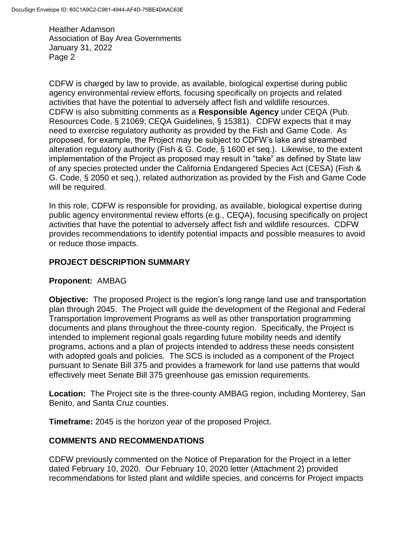Heather Adamson Association of Bay Area Governments January 31, 2022 Page 2

CDFW is charged by law to provide, as available, biological expertise during public agency environmental review efforts, focusing specifically on projects and related activities that have the potential to adversely affect fish and wildlife resources. CDFW is also submitting comments as a **Responsible Agency** under CEQA (Pub. Resources Code, § 21069; CEQA Guidelines, § 15381). CDFW expects that it may need to exercise regulatory authority as provided by the Fish and Game Code. As proposed, for example, the Project may be subject to CDFW's lake and streambed alteration regulatory authority (Fish & G. Code, § 1600 et seq.). Likewise, to the extent implementation of the Project as proposed may result in "take" as defined by State law of any species protected under the California Endangered Species Act (CESA) (Fish & G. Code, § 2050 et seq.), related authorization as provided by the Fish and Game Code will be required.

In this role, CDFW is responsible for providing, as available, biological expertise during public agency environmental review efforts (e.g., CEQA), focusing specifically on project activities that have the potential to adversely affect fish and wildlife resources. CDFW provides recommendations to identify potential impacts and possible measures to avoid or reduce those impacts.

## **PROJECT DESCRIPTION SUMMARY**

### **Proponent:** AMBAG

**Objective:** The proposed Project is the region's long range land use and transportation plan through 2045. The Project will guide the development of the Regional and Federal Transportation Improvement Programs as well as other transportation programming documents and plans throughout the three-county region. Specifically, the Project is intended to implement regional goals regarding future mobility needs and identify programs, actions and a plan of projects intended to address these needs consistent with adopted goals and policies. The SCS is included as a component of the Project pursuant to Senate Bill 375 and provides a framework for land use patterns that would effectively meet Senate Bill 375 greenhouse gas emission requirements.

**Location:** The Project site is the three-county AMBAG region, including Monterey, San Benito, and Santa Cruz counties.

**Timeframe:** 2045 is the horizon year of the proposed Project.

### **COMMENTS AND RECOMMENDATIONS**

CDFW previously commented on the Notice of Preparation for the Project in a letter dated February 10, 2020. Our February 10, 2020 letter (Attachment 2) provided recommendations for listed plant and wildlife species, and concerns for Project impacts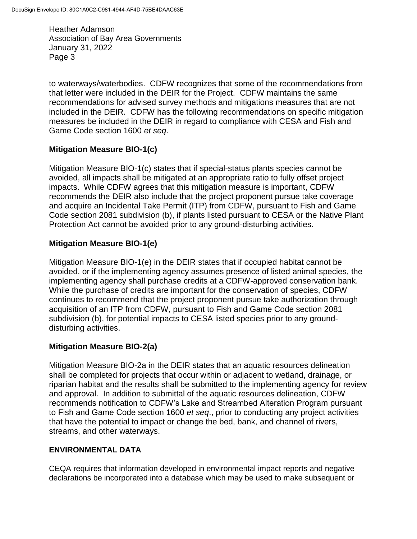Heather Adamson Association of Bay Area Governments January 31, 2022 Page 3

to waterways/waterbodies. CDFW recognizes that some of the recommendations from that letter were included in the DEIR for the Project. CDFW maintains the same recommendations for advised survey methods and mitigations measures that are not included in the DEIR. CDFW has the following recommendations on specific mitigation measures be included in the DEIR in regard to compliance with CESA and Fish and Game Code section 1600 *et seq*.

## **Mitigation Measure BIO-1(c)**

Mitigation Measure BIO-1(c) states that if special-status plants species cannot be avoided, all impacts shall be mitigated at an appropriate ratio to fully offset project impacts. While CDFW agrees that this mitigation measure is important, CDFW recommends the DEIR also include that the project proponent pursue take coverage and acquire an Incidental Take Permit (ITP) from CDFW, pursuant to Fish and Game Code section 2081 subdivision (b), if plants listed pursuant to CESA or the Native Plant Protection Act cannot be avoided prior to any ground-disturbing activities.

### **Mitigation Measure BIO-1(e)**

Mitigation Measure BIO-1(e) in the DEIR states that if occupied habitat cannot be avoided, or if the implementing agency assumes presence of listed animal species, the implementing agency shall purchase credits at a CDFW-approved conservation bank. While the purchase of credits are important for the conservation of species, CDFW continues to recommend that the project proponent pursue take authorization through acquisition of an ITP from CDFW, pursuant to Fish and Game Code section 2081 subdivision (b), for potential impacts to CESA listed species prior to any grounddisturbing activities.

### **Mitigation Measure BIO-2(a)**

Mitigation Measure BIO-2a in the DEIR states that an aquatic resources delineation shall be completed for projects that occur within or adjacent to wetland, drainage, or riparian habitat and the results shall be submitted to the implementing agency for review and approval. In addition to submittal of the aquatic resources delineation, CDFW recommends notification to CDFW's Lake and Streambed Alteration Program pursuant to Fish and Game Code section 1600 *et seq*., prior to conducting any project activities that have the potential to impact or change the bed, bank, and channel of rivers, streams, and other waterways.

### **ENVIRONMENTAL DATA**

CEQA requires that information developed in environmental impact reports and negative declarations be incorporated into a database which may be used to make subsequent or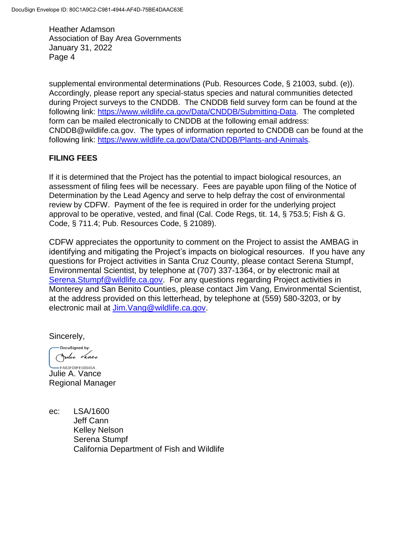Heather Adamson Association of Bay Area Governments January 31, 2022 Page 4

supplemental environmental determinations (Pub. Resources Code, § 21003, subd. (e)). Accordingly, please report any special-status species and natural communities detected during Project surveys to the CNDDB. The CNDDB field survey form can be found at the following link: [https://www.wildlife.ca.gov/Data/CNDDB/Submitting-Data.](https://www.wildlife.ca.gov/Data/CNDDB/Submitting-Data) The completed form can be mailed electronically to CNDDB at the following email address: CNDDB@wildlife.ca.gov. The types of information reported to CNDDB can be found at the following link: [https://www.wildlife.ca.gov/Data/CNDDB/Plants-and-Animals.](https://www.wildlife.ca.gov/Data/CNDDB/Plants-and-Animals)

### **FILING FEES**

If it is determined that the Project has the potential to impact biological resources, an assessment of filing fees will be necessary. Fees are payable upon filing of the Notice of Determination by the Lead Agency and serve to help defray the cost of environmental review by CDFW. Payment of the fee is required in order for the underlying project approval to be operative, vested, and final (Cal. Code Regs, tit. 14, § 753.5; Fish & G. Code, § 711.4; Pub. Resources Code, § 21089).

CDFW appreciates the opportunity to comment on the Project to assist the AMBAG in identifying and mitigating the Project's impacts on biological resources. If you have any questions for Project activities in Santa Cruz County, please contact Serena Stumpf, Environmental Scientist, by telephone at (707) 337-1364, or by electronic mail at [Serena.Stumpf@wildlife.ca.gov.](mailto:Serena.Stumpf@wildlife.ca.gov) For any questions regarding Project activities in Monterey and San Benito Counties, please contact Jim Vang, Environmental Scientist, at the address provided on this letterhead, by telephone at (559) 580-3203, or by electronic mail at [Jim.Vang@wildlife.ca.gov.](mailto:Jim.Vang@wildlife.ca.gov)

Sincerely,

DocuSigned by: Julie Vance -FA83F09FE08945A...

Julie A. Vance Regional Manager

ec: LSA/1600 Jeff Cann Kelley Nelson Serena Stumpf California Department of Fish and Wildlife